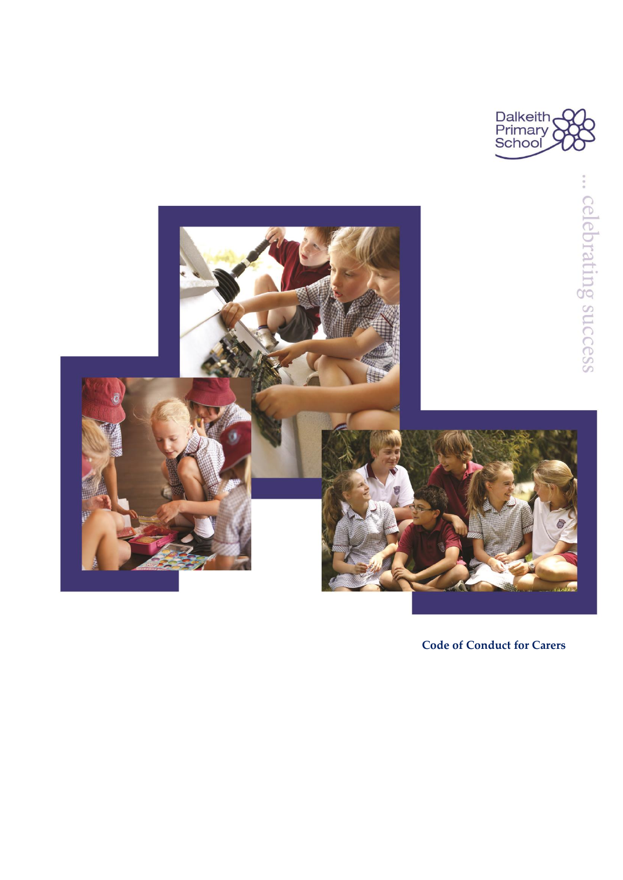





**Code of Conduct for Carers**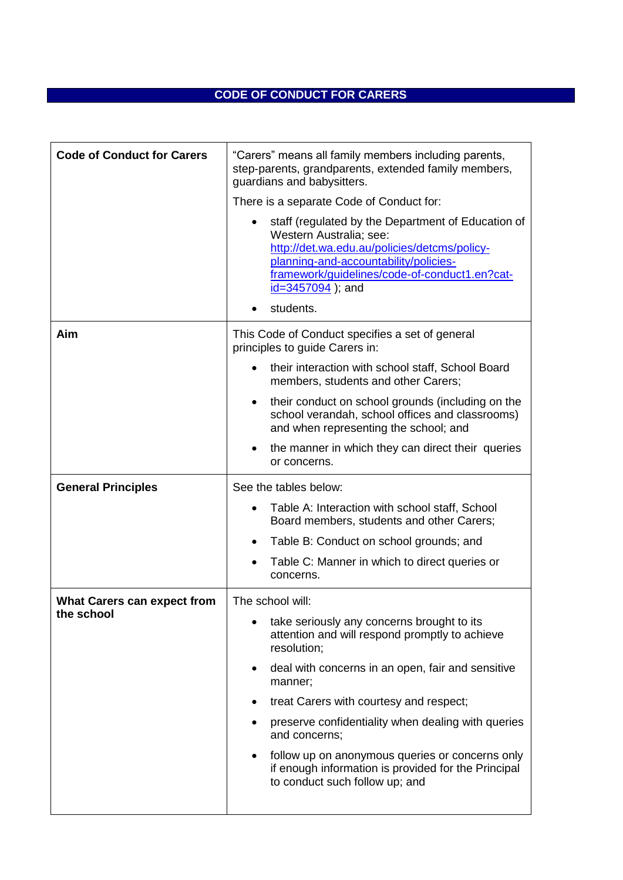## **CODE OF CONDUCT FOR CARERS**

| <b>Code of Conduct for Carers</b>  | "Carers" means all family members including parents,<br>step-parents, grandparents, extended family members,<br>guardians and babysitters.                                                                                                               |
|------------------------------------|----------------------------------------------------------------------------------------------------------------------------------------------------------------------------------------------------------------------------------------------------------|
|                                    | There is a separate Code of Conduct for:                                                                                                                                                                                                                 |
|                                    | staff (regulated by the Department of Education of<br>Western Australia; see:<br>http://det.wa.edu.au/policies/detcms/policy-<br>planning-and-accountability/policies-<br>framework/guidelines/code-of-conduct1.en?cat-<br>id=3457094); and<br>students. |
| Aim                                | This Code of Conduct specifies a set of general<br>principles to guide Carers in:                                                                                                                                                                        |
|                                    | their interaction with school staff, School Board<br>members, students and other Carers;                                                                                                                                                                 |
|                                    | their conduct on school grounds (including on the<br>school verandah, school offices and classrooms)<br>and when representing the school; and                                                                                                            |
|                                    | the manner in which they can direct their queries<br>or concerns.                                                                                                                                                                                        |
| <b>General Principles</b>          | See the tables below:                                                                                                                                                                                                                                    |
|                                    | Table A: Interaction with school staff, School<br>Board members, students and other Carers;                                                                                                                                                              |
|                                    | Table B: Conduct on school grounds; and                                                                                                                                                                                                                  |
|                                    | Table C: Manner in which to direct queries or<br>concerns.                                                                                                                                                                                               |
| <b>What Carers can expect from</b> | The school will:                                                                                                                                                                                                                                         |
| the school                         | take seriously any concerns brought to its<br>attention and will respond promptly to achieve<br>resolution;                                                                                                                                              |
|                                    | deal with concerns in an open, fair and sensitive<br>manner;                                                                                                                                                                                             |
|                                    | treat Carers with courtesy and respect;                                                                                                                                                                                                                  |
|                                    | preserve confidentiality when dealing with queries<br>and concerns;                                                                                                                                                                                      |
|                                    | follow up on anonymous queries or concerns only<br>if enough information is provided for the Principal<br>to conduct such follow up; and                                                                                                                 |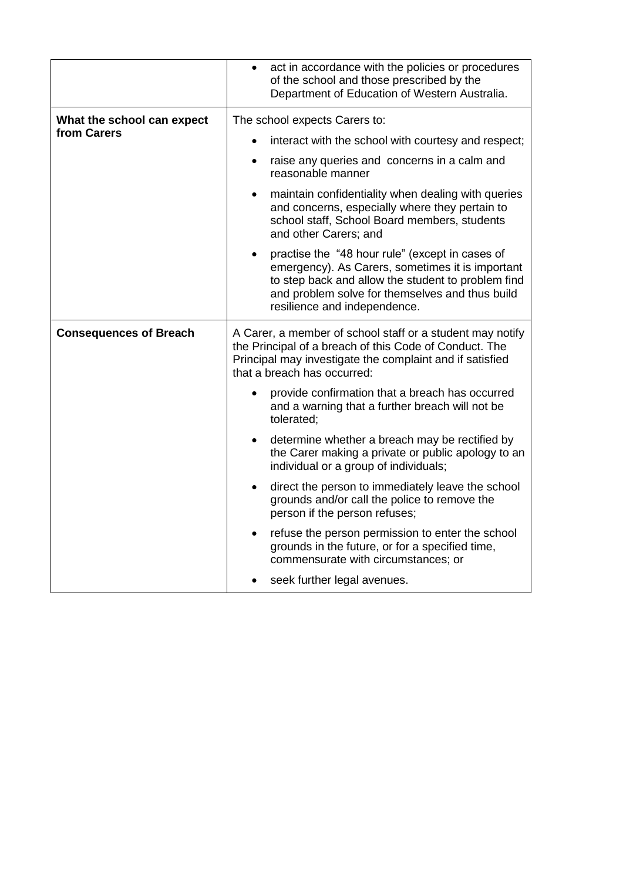|                                           | act in accordance with the policies or procedures<br>$\bullet$<br>of the school and those prescribed by the<br>Department of Education of Western Australia.                                                                                 |
|-------------------------------------------|----------------------------------------------------------------------------------------------------------------------------------------------------------------------------------------------------------------------------------------------|
| What the school can expect<br>from Carers | The school expects Carers to:<br>interact with the school with courtesy and respect;<br>raise any queries and concerns in a calm and                                                                                                         |
|                                           | reasonable manner<br>maintain confidentiality when dealing with queries<br>and concerns, especially where they pertain to<br>school staff, School Board members, students<br>and other Carers; and                                           |
|                                           | practise the "48 hour rule" (except in cases of<br>emergency). As Carers, sometimes it is important<br>to step back and allow the student to problem find<br>and problem solve for themselves and thus build<br>resilience and independence. |
| <b>Consequences of Breach</b>             | A Carer, a member of school staff or a student may notify<br>the Principal of a breach of this Code of Conduct. The<br>Principal may investigate the complaint and if satisfied<br>that a breach has occurred:                               |
|                                           | provide confirmation that a breach has occurred<br>and a warning that a further breach will not be<br>tolerated:                                                                                                                             |
|                                           | determine whether a breach may be rectified by<br>the Carer making a private or public apology to an<br>individual or a group of individuals;                                                                                                |
|                                           | direct the person to immediately leave the school<br>$\bullet$<br>grounds and/or call the police to remove the<br>person if the person refuses;                                                                                              |
|                                           | refuse the person permission to enter the school<br>grounds in the future, or for a specified time,<br>commensurate with circumstances; or                                                                                                   |
|                                           |                                                                                                                                                                                                                                              |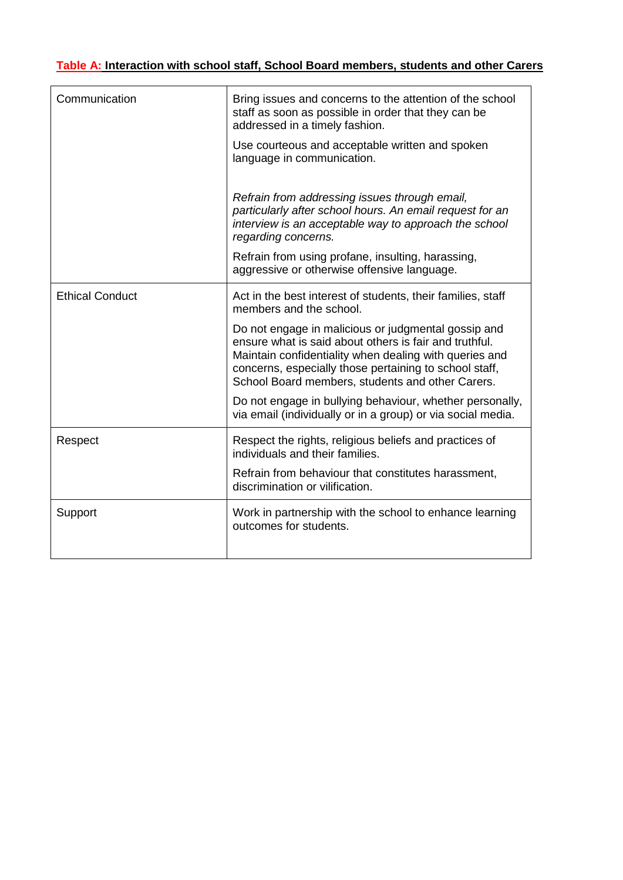## **Table A: Interaction with school staff, School Board members, students and other Carers**

| Communication          | Bring issues and concerns to the attention of the school<br>staff as soon as possible in order that they can be<br>addressed in a timely fashion.                                                                                                                                     |
|------------------------|---------------------------------------------------------------------------------------------------------------------------------------------------------------------------------------------------------------------------------------------------------------------------------------|
|                        | Use courteous and acceptable written and spoken<br>language in communication.                                                                                                                                                                                                         |
|                        | Refrain from addressing issues through email,<br>particularly after school hours. An email request for an<br>interview is an acceptable way to approach the school<br>regarding concerns.                                                                                             |
|                        | Refrain from using profane, insulting, harassing,<br>aggressive or otherwise offensive language.                                                                                                                                                                                      |
| <b>Ethical Conduct</b> | Act in the best interest of students, their families, staff<br>members and the school.                                                                                                                                                                                                |
|                        | Do not engage in malicious or judgmental gossip and<br>ensure what is said about others is fair and truthful.<br>Maintain confidentiality when dealing with queries and<br>concerns, especially those pertaining to school staff,<br>School Board members, students and other Carers. |
|                        | Do not engage in bullying behaviour, whether personally,<br>via email (individually or in a group) or via social media.                                                                                                                                                               |
| Respect                | Respect the rights, religious beliefs and practices of<br>individuals and their families.                                                                                                                                                                                             |
|                        | Refrain from behaviour that constitutes harassment,<br>discrimination or vilification.                                                                                                                                                                                                |
| Support                | Work in partnership with the school to enhance learning<br>outcomes for students.                                                                                                                                                                                                     |